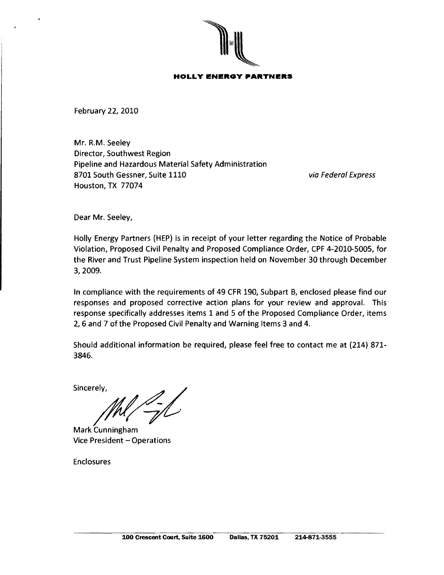

**HOLLY ENERGY PARTNERS** 

February 22} 2010

Mr. R.M. Seeley Director, Southwest Region Pipeline and Hazardous Material Safety Administration 8701 South Gessner, Suite 1110 via Federal Express Houston, TX 77074

Dear Mr. Seeley,

Holly Energy Partners (HEP) is in receipt of your letter regarding the Notice of Probable Violation, Proposed Civil Penalty and Proposed Compliance Order} CPF 4-2010-5005, for the River and Trust Pipeline System inspection held on November 30 through December 3} 2009.

In compliance with the requirements of 49 CFR 190} Subpart B, enclosed please find our responses and proposed corrective action plans for your review and approval. This response specifically addresses items 1 and 5 of the Proposed Compliance Order, items 2,6 and 7 of the Proposed Civil Penalty and Warning Items 3 and 4.

Should additional information be required, please feel free to contact me at (214) 871-3846.

Sincerely,  $M\Lambda$ 

Mark Cunningham Vice President - Operations

Enclosures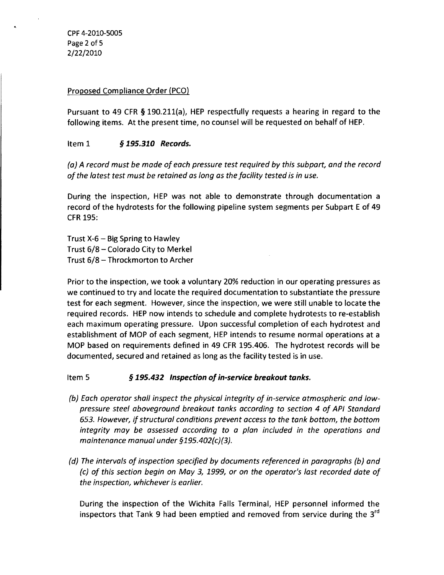CPF 4-2010-5005 Page 2 of 5 2/22/2010

### Proposed Compliance Order (PCO)

Pursuant to 49 CFR § 190.211(a), HEP respectfully requests a hearing in regard to the following items. At the present time, no counsel will be requested on behalf of HEP.

## Item 1 § *195.310 Records.*

(a) A record must be made of each pressure test required by this subpart, and the record of the latest test must be retained as long as the facility tested is in use.

During the inspection, HEP was not able to demonstrate through documentation a record of the hydrotests for the following pipeline system segments per Subpart E of 49 CFR 195:

Trust  $X-6$  – Big Spring to Hawley Trust 6/8 - Colorado City to Merkel Trust 6/8 - Throckmorton to Archer

Prior to the inspection, we took a voluntary 20% reduction in our operating pressures as we continued to try and locate the required documentation to substantiate the pressure test for each segment. However, since the inspection, we were still unable to locate the required records. HEP now intends to schedule and complete hydrotests to re-establish each maximum operating pressure. Upon successful completion of each hydrotest and establishment of MOP of each segment, HEP intends to resume normal operations at a MOP based on requirements defined in 49 CFR 195.406. The hydrotest records will be documented, secured and retained as long as the facility tested is in use.

Item 5 § 195.432 *Inspection of in-service breakout tanks.* 

- (b) Each operator shall inspect the physical integrity of in-service atmospheric and lowpressure steel aboveground breakout tanks according to section 4 of API Standard 653. However, if structural conditions prevent access to the tank bottom, the bottom integrity may be assessed according to a plan included in the operations and maintenance manual under §195.402(c)(3).
- (d) The intervals of inspection specified by documents referenced in paragraphs (b) and (c) of this section begin on May 3, 1999, or on the operator's last recorded date of the inspection, whichever is earlier.

During the inspection of the Wichita Falls Terminal, HEP personnel informed the inspectors that Tank 9 had been emptied and removed from service during the  $3^{rd}$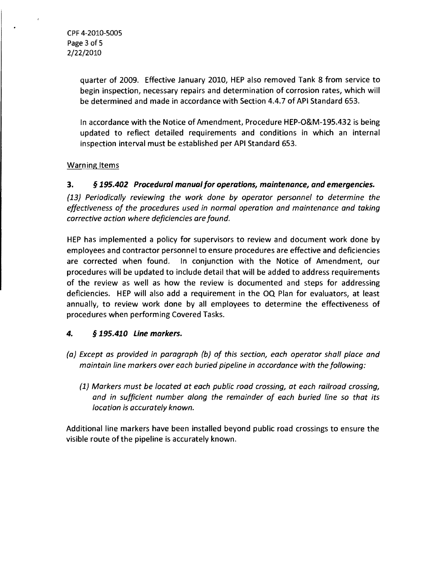CPF 4-2010-5005 Page 3 of 5 2/22/2010

 $\bullet$ 

quarter of 2009. Effective January 2010, HEP also removed Tank 8 from service to begin inspection, necessary repairs and determination of corrosion rates, which will be determined and made in accordance with Section 4.4.7 of API Standard 653.

In accordance with the Notice of Amendment, Procedure HEP-0&M-195.432 is being updated to reflect detailed requirements and conditions in which an internal inspection interval must be established per API Standard 653.

# Warning Items

3. § *195.402 Procedural manual for operations, maintenance, and emergencies.* 

*(13) Periodically reviewing the work done by operator personnel* to *determine the effectiveness of the procedures used in normal operation and maintenance and taking corrective action where deficiencies are found.* 

HEP has implemented a policy for supervisors to review and document work done by employees and contractor personnel to ensure procedures are effective and deficiencies are corrected when found. In conjunction with the Notice of Amendment, our procedures will be updated to include detail that will be added to address requirements of the review as well as how the review is documented and steps for addressing deficiencies. HEP will also add a requirement in the OQ Plan for evaluators, at least annually, to review work done by all employees to determine the effectiveness of procedures when performing Covered Tasks.

## 4. § *195.410 Line markers.*

- *(a) Except as provided in paragraph (b) of this section, each operator shall place and maintain line markers over each buried pipeline in accordance with the following:* 
	- *(1) Markers must be located at each public road crossing, at each railroad crossing, and in sufficient number along the remainder of each buried line* so *that its location is accurately known.*

Additional line markers have been installed beyond public road crossings to ensure the visible route of the pipeline is accurately known.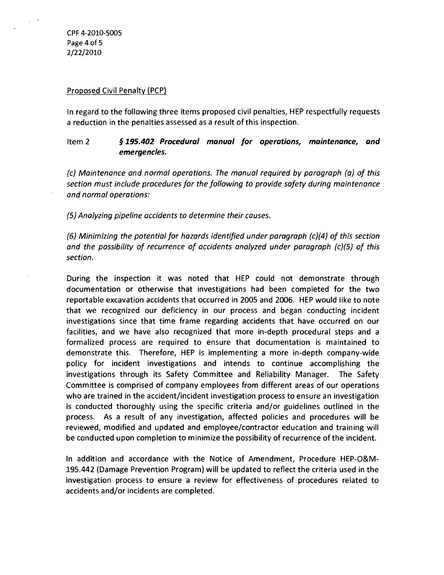CPF 4-2010-5005 Page 4of5 2/22/2010

#### Proposed Civil Penalty (PCP)

In regard to the following three items proposed civil penalties, HEP respectfully requests a reduction in the penalties assessed as a result of this inspection.

# Item 2 § *195.402 Procedural manual for operations, maintenance, and emergencies.*

(c) Maintenance and normal operations. The manual required by paragraph (a) of this section must include procedures for the following to provide safety during maintenance and normal operations:

(5) Analyzing pipeline accidents to determine their causes.

(6) Minimizing the potential for hazards identified under paragraph (c)(4) of this section and the possibility of recurrence of accidents analyzed under paragraph (c)(5) of this section.

During the inspection it was noted that HEP could not demonstrate through documentation or otherwise that investigations had been completed for the two reportable excavation accidents that occurred in 2005 and 2006. HEP would like to note that we recognized our deficiency in our process and began conducting incident investigations since that time frame regarding accidents that have occurred on our facilities, and we have also recognized that more in-depth procedural steps and a formalized process are required to ensure that documentation is maintained to demonstrate this. Therefore, HEP is implementing a more in-depth company-wide policy for incident investigations and intends to continue accomplishing the investigations through its Safety Committee and Reliability Manager. The Safety Committee is comprised of company employees from different areas of our operations who are trained in the accident/incident investigation process to ensure an investigation is conducted thoroughly using the specific criteria and/or guidelines outlined in the process. As a result of any investigation, affected policies and procedures will be reviewed, modified and updated and employee/contractor education and training will be conducted upon completion to minimize the possibility of recurrence of the incident.

In addition and accordance with the Notice of Amendment, Procedure HEP-O&M-195.442 (Damage Prevention Program) will be updated to reflect the criteria used in the investigation process to ensure a review for effectiveness of procedures related to accidents and/or incidents are completed.